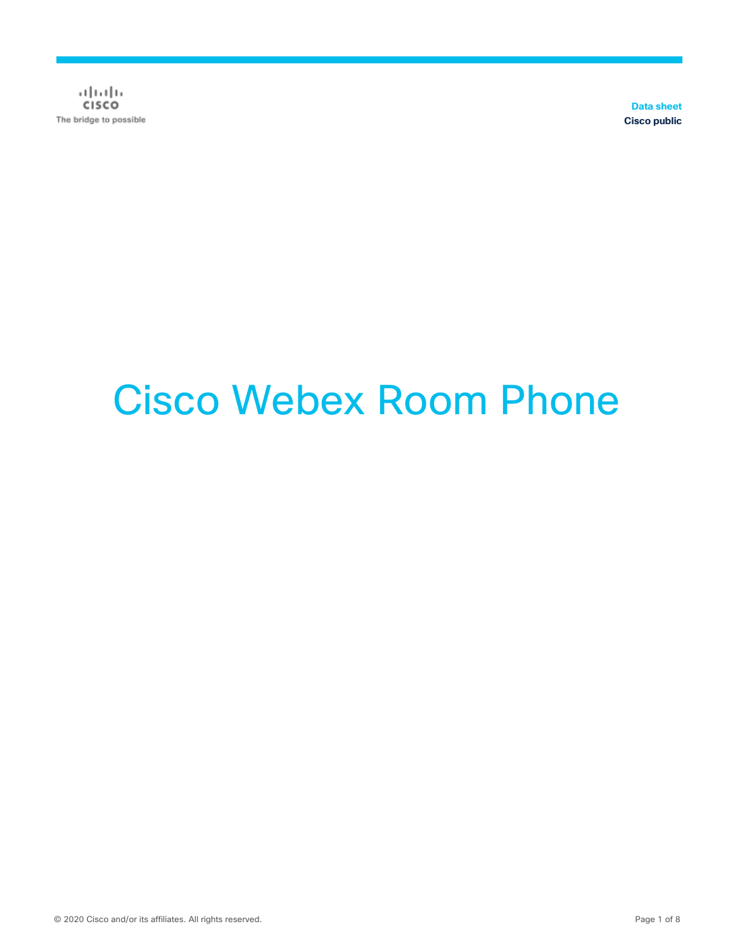$\frac{1}{2}$ The bridge to possible

**Data sheet Cisco public**

# Cisco Webex Room Phone

© 2020 Cisco and/or its affiliates. All rights reserved. Page 1 of 8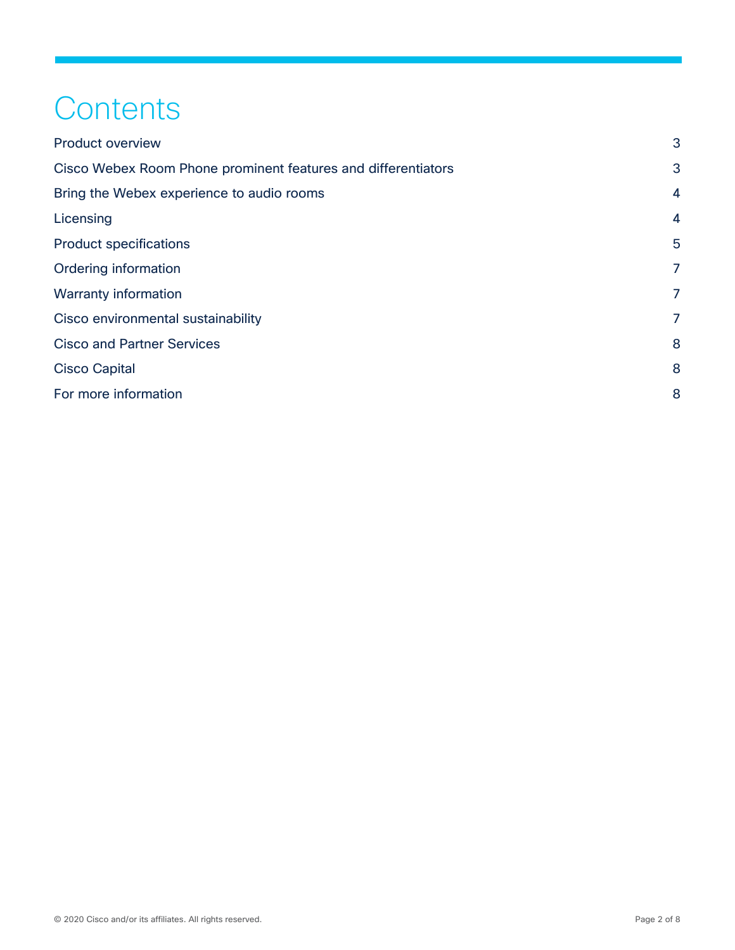## **Contents**

| <b>Product overview</b>                                       | 3              |
|---------------------------------------------------------------|----------------|
| Cisco Webex Room Phone prominent features and differentiators | 3              |
| Bring the Webex experience to audio rooms                     | $\overline{4}$ |
| Licensing                                                     | $\overline{4}$ |
| <b>Product specifications</b>                                 | 5              |
| Ordering information                                          | 7              |
| <b>Warranty information</b>                                   | $\overline{7}$ |
| Cisco environmental sustainability                            | 7              |
| <b>Cisco and Partner Services</b>                             | 8              |
| <b>Cisco Capital</b>                                          | 8              |
| For more information                                          | 8              |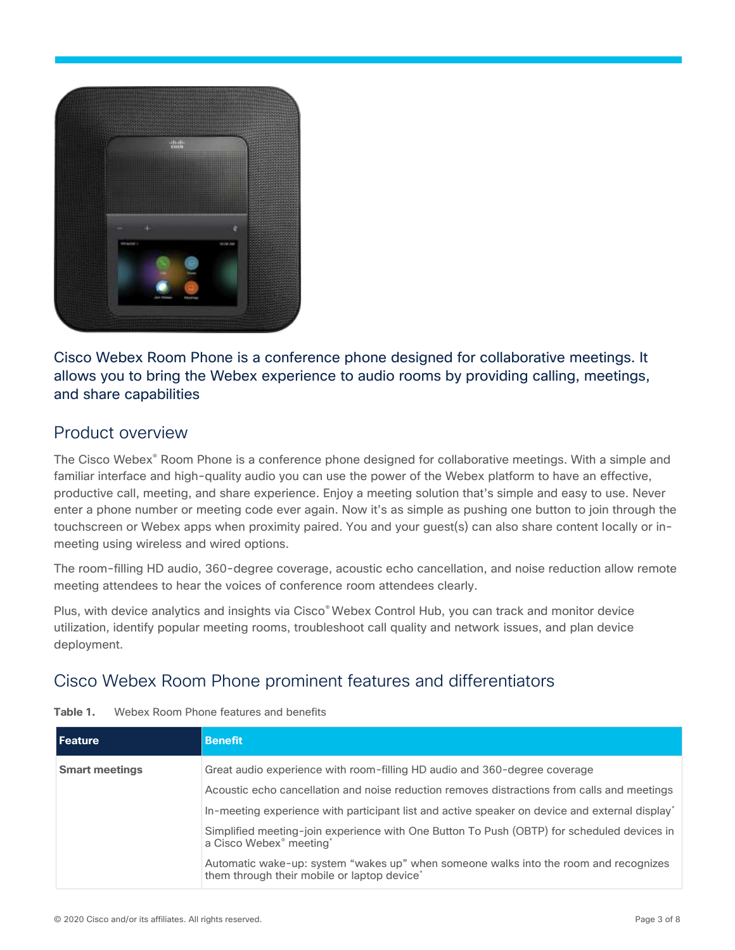

Cisco Webex Room Phone is a conference phone designed for collaborative meetings. It allows you to bring the Webex experience to audio rooms by providing calling, meetings, and share capabilities

#### <span id="page-2-0"></span>Product overview

The Cisco Webex® Room Phone is a conference phone designed for collaborative meetings. With a simple and familiar interface and high-quality audio you can use the power of the Webex platform to have an effective, productive call, meeting, and share experience. Enjoy a meeting solution that's simple and easy to use. Never enter a phone number or meeting code ever again. Now it's as simple as pushing one button to join through the touchscreen or Webex apps when proximity paired. You and your guest(s) can also share content locally or inmeeting using wireless and wired options.

The room-filling HD audio, 360-degree coverage, acoustic echo cancellation, and noise reduction allow remote meeting attendees to hear the voices of conference room attendees clearly.

Plus, with device analytics and insights via Cisco® Webex Control Hub, you can track and monitor device utilization, identify popular meeting rooms, troubleshoot call quality and network issues, and plan device deployment.

### <span id="page-2-1"></span>Cisco Webex Room Phone prominent features and differentiators

| l Feature             | <b>Benefit</b>                                                                                                                                  |
|-----------------------|-------------------------------------------------------------------------------------------------------------------------------------------------|
| <b>Smart meetings</b> | Great audio experience with room-filling HD audio and 360-degree coverage                                                                       |
|                       | Acoustic echo cancellation and noise reduction removes distractions from calls and meetings                                                     |
|                       | In-meeting experience with participant list and active speaker on device and external display <sup>*</sup>                                      |
|                       | Simplified meeting-join experience with One Button To Push (OBTP) for scheduled devices in<br>a Cisco Webex <sup>®</sup> meeting <sup>*</sup>   |
|                       | Automatic wake-up: system "wakes up" when someone walks into the room and recognizes<br>them through their mobile or laptop device <sup>*</sup> |

**Table 1.** Webex Room Phone features and benefits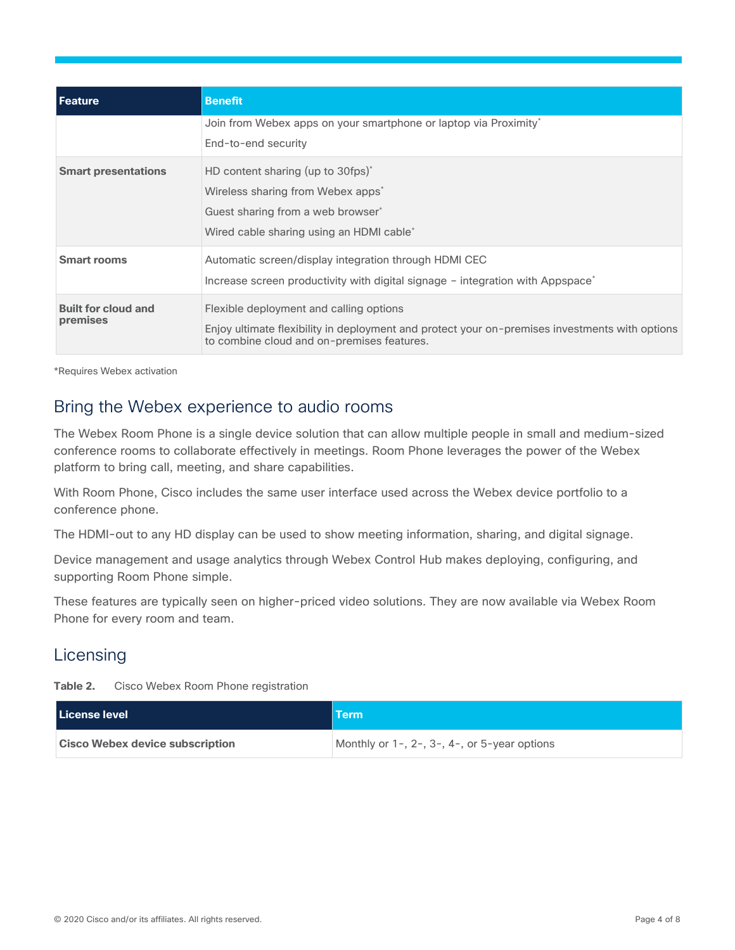| Feature                                | <b>Benefit</b>                                                                                                                                                                                          |
|----------------------------------------|---------------------------------------------------------------------------------------------------------------------------------------------------------------------------------------------------------|
|                                        | Join from Webex apps on your smartphone or laptop via Proximity*<br>End-to-end security                                                                                                                 |
| <b>Smart presentations</b>             | HD content sharing (up to 30fps) <sup>*</sup><br>Wireless sharing from Webex apps <sup>*</sup><br>Guest sharing from a web browser <sup>*</sup><br>Wired cable sharing using an HDMI cable <sup>*</sup> |
| <b>Smart rooms</b>                     | Automatic screen/display integration through HDMI CEC<br>Increase screen productivity with digital signage – integration with Appspace <sup>*</sup>                                                     |
| <b>Built for cloud and</b><br>premises | Flexible deployment and calling options<br>Enjoy ultimate flexibility in deployment and protect your on-premises investments with options<br>to combine cloud and on-premises features.                 |

\*Requires Webex activation

## <span id="page-3-0"></span>Bring the Webex experience to audio rooms

The Webex Room Phone is a single device solution that can allow multiple people in small and medium-sized conference rooms to collaborate effectively in meetings. Room Phone leverages the power of the Webex platform to bring call, meeting, and share capabilities.

With Room Phone, Cisco includes the same user interface used across the Webex device portfolio to a conference phone.

The HDMI-out to any HD display can be used to show meeting information, sharing, and digital signage.

Device management and usage analytics through Webex Control Hub makes deploying, configuring, and supporting Room Phone simple.

These features are typically seen on higher-priced video solutions. They are now available via Webex Room Phone for every room and team.

### <span id="page-3-1"></span>Licensing

**Table 2.** Cisco Webex Room Phone registration

| License level                          | \Term \                                                     |
|----------------------------------------|-------------------------------------------------------------|
| <b>Cisco Webex device subscription</b> | Monthly or $1-$ , $2-$ , $3-$ , $4-$ , or $5-$ year options |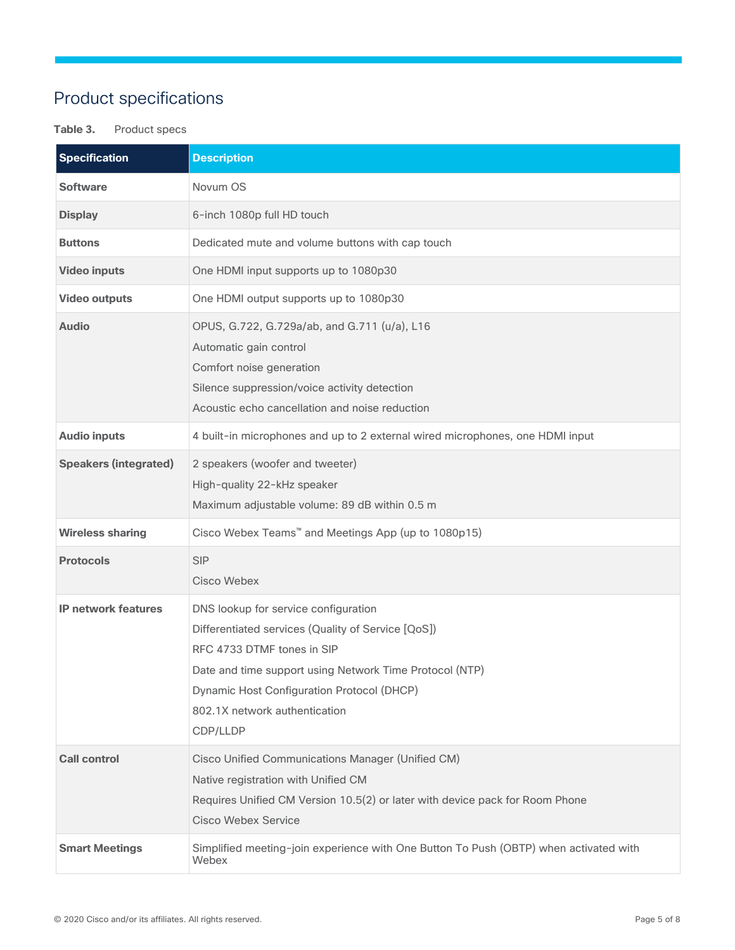## <span id="page-4-0"></span>Product specifications

#### **Table 3.** Product specs

| <b>Specification</b>         | <b>Description</b>                                                                                                                                                                                                                                                             |
|------------------------------|--------------------------------------------------------------------------------------------------------------------------------------------------------------------------------------------------------------------------------------------------------------------------------|
| <b>Software</b>              | Novum OS                                                                                                                                                                                                                                                                       |
| <b>Display</b>               | 6-inch 1080p full HD touch                                                                                                                                                                                                                                                     |
| <b>Buttons</b>               | Dedicated mute and volume buttons with cap touch                                                                                                                                                                                                                               |
| <b>Video inputs</b>          | One HDMI input supports up to 1080p30                                                                                                                                                                                                                                          |
| <b>Video outputs</b>         | One HDMI output supports up to 1080p30                                                                                                                                                                                                                                         |
| <b>Audio</b>                 | OPUS, G.722, G.729a/ab, and G.711 (u/a), L16<br>Automatic gain control<br>Comfort noise generation<br>Silence suppression/voice activity detection<br>Acoustic echo cancellation and noise reduction                                                                           |
| <b>Audio inputs</b>          | 4 built-in microphones and up to 2 external wired microphones, one HDMI input                                                                                                                                                                                                  |
| <b>Speakers (integrated)</b> | 2 speakers (woofer and tweeter)<br>High-quality 22-kHz speaker<br>Maximum adjustable volume: 89 dB within 0.5 m                                                                                                                                                                |
| <b>Wireless sharing</b>      | Cisco Webex Teams™ and Meetings App (up to 1080p15)                                                                                                                                                                                                                            |
| <b>Protocols</b>             | <b>SIP</b><br>Cisco Webex                                                                                                                                                                                                                                                      |
| <b>IP network features</b>   | DNS lookup for service configuration<br>Differentiated services (Quality of Service [QoS])<br>RFC 4733 DTMF tones in SIP<br>Date and time support using Network Time Protocol (NTP)<br>Dynamic Host Configuration Protocol (DHCP)<br>802.1X network authentication<br>CDP/LLDP |
| <b>Call control</b>          | Cisco Unified Communications Manager (Unified CM)<br>Native registration with Unified CM<br>Requires Unified CM Version 10.5(2) or later with device pack for Room Phone<br><b>Cisco Webex Service</b>                                                                         |
| <b>Smart Meetings</b>        | Simplified meeting-join experience with One Button To Push (OBTP) when activated with<br>Webex                                                                                                                                                                                 |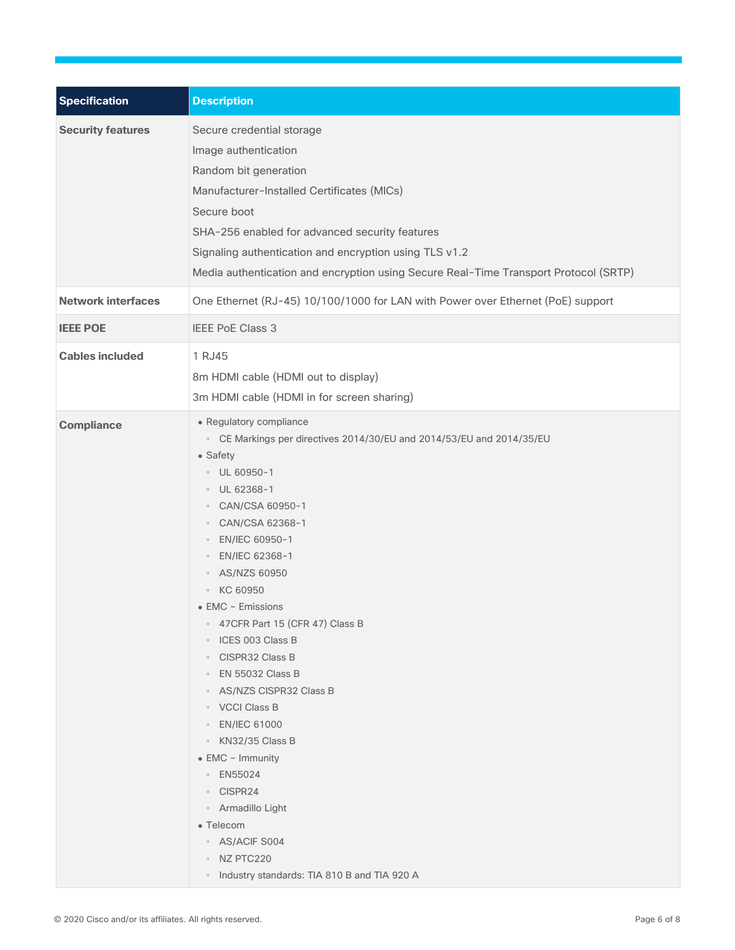| <b>Specification</b>      | <b>Description</b>                                                                                                                                                                                                                                                                                                                                                                                                                                                                                                                                                                                                                                                                                                                                         |
|---------------------------|------------------------------------------------------------------------------------------------------------------------------------------------------------------------------------------------------------------------------------------------------------------------------------------------------------------------------------------------------------------------------------------------------------------------------------------------------------------------------------------------------------------------------------------------------------------------------------------------------------------------------------------------------------------------------------------------------------------------------------------------------------|
| <b>Security features</b>  | Secure credential storage<br>Image authentication<br>Random bit generation<br>Manufacturer-Installed Certificates (MICs)<br>Secure boot<br>SHA-256 enabled for advanced security features<br>Signaling authentication and encryption using TLS v1.2<br>Media authentication and encryption using Secure Real-Time Transport Protocol (SRTP)                                                                                                                                                                                                                                                                                                                                                                                                                |
| <b>Network interfaces</b> | One Ethernet (RJ-45) 10/100/1000 for LAN with Power over Ethernet (PoE) support                                                                                                                                                                                                                                                                                                                                                                                                                                                                                                                                                                                                                                                                            |
| <b>IEEE POE</b>           | <b>IEEE PoE Class 3</b>                                                                                                                                                                                                                                                                                                                                                                                                                                                                                                                                                                                                                                                                                                                                    |
| <b>Cables included</b>    | 1 RJ45<br>8m HDMI cable (HDMI out to display)<br>3m HDMI cable (HDMI in for screen sharing)                                                                                                                                                                                                                                                                                                                                                                                                                                                                                                                                                                                                                                                                |
| <b>Compliance</b>         | • Regulatory compliance<br>○ CE Markings per directives 2014/30/EU and 2014/53/EU and 2014/35/EU<br>• Safety<br>$\circ$ UL 60950-1<br>$\degree$ UL 62368-1<br>© CAN/CSA 60950-1<br>© CAN/CSA 62368-1<br>○ EN/IEC 60950-1<br>© EN/IEC 62368-1<br>◦ AS/NZS 60950<br>∘ KC 60950<br>$\bullet$ EMC - Emissions<br>○ 47CFR Part 15 (CFR 47) Class B<br>ICES 003 Class B<br>$\circ$<br>CISPR32 Class B<br>$\circ$<br><b>EN 55032 Class B</b><br>$\circ$<br>• AS/NZS CISPR32 Class B<br>• VCCI Class B<br><b>EN/IEC 61000</b><br>$\circ$<br>KN32/35 Class B<br>$\circ$<br>$\bullet$ EMC - Immunity<br>○ EN55024<br>CISPR24<br>$\circ$<br>• Armadillo Light<br>• Telecom<br>• AS/ACIF S004<br>• NZ PTC220<br>Industry standards: TIA 810 B and TIA 920 A<br>$\circ$ |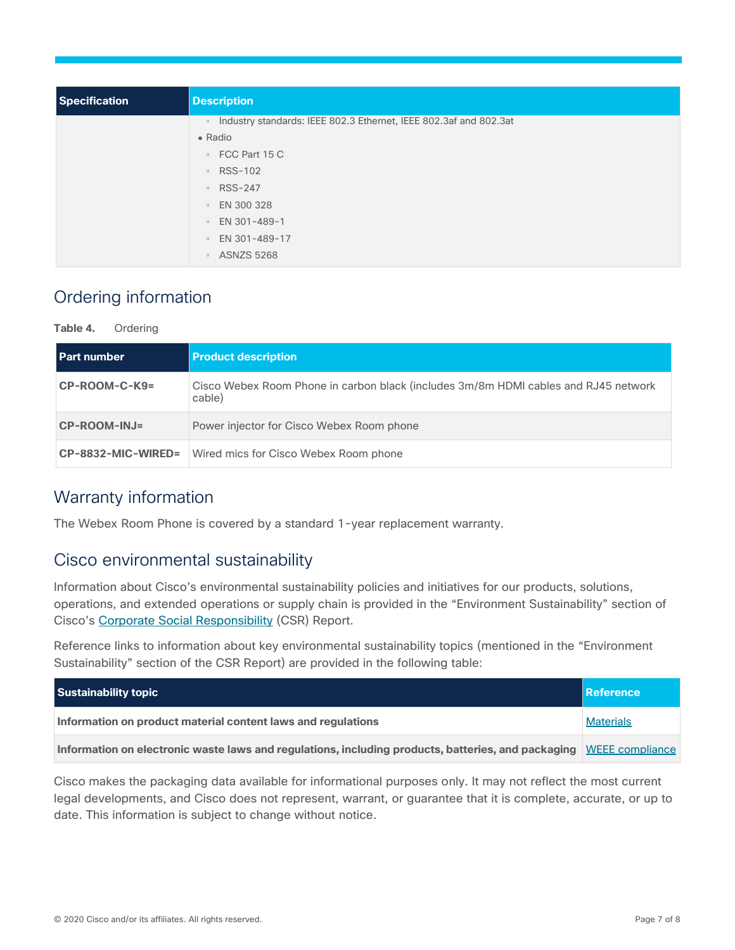| <b>Specification</b> | <b>Description</b>                                                           |
|----------------------|------------------------------------------------------------------------------|
|                      | Industry standards: IEEE 802.3 Ethernet, IEEE 802.3af and 802.3at<br>$\circ$ |
|                      | • Radio                                                                      |
|                      | FCC Part 15 C<br>$\circ$                                                     |
|                      | <b>RSS-102</b><br>$\circ$                                                    |
|                      | <b>RSS-247</b><br>$\circ$                                                    |
|                      | EN 300 328<br>$\circ$                                                        |
|                      | EN 301-489-1<br>$\circ$                                                      |
|                      | EN 301-489-17<br>$\circ$                                                     |
|                      | <b>ASNZS 5268</b><br>$\circ$                                                 |

### <span id="page-6-0"></span>Ordering information

#### **Table 4.** Ordering

| l Part number      | <b>Product description</b>                                                                    |
|--------------------|-----------------------------------------------------------------------------------------------|
| $CP-ROOM-C-K9=$    | Cisco Webex Room Phone in carbon black (includes 3m/8m HDMI cables and RJ45 network<br>cable) |
| CP-ROOM-INJ=       | Power injector for Cisco Webex Room phone                                                     |
| CP-8832-MIC-WIRED= | Wired mics for Cisco Webex Room phone                                                         |

#### <span id="page-6-1"></span>Warranty information

The Webex Room Phone is covered by a standard 1-year replacement warranty.

#### <span id="page-6-2"></span>Cisco environmental sustainability

Information about Cisco's environmental sustainability policies and initiatives for our products, solutions, operations, and extended operations or supply chain is provided in the "Environment Sustainability" section of Cisco's [Corporate Social Responsibility](https://www-1.compliance2product.com/c2p/getAttachment.do?code=YM6Y0yThdO6Wj1FxxYPYfUG2dtFkTeFWGpzLRO8tcURFEifUCRV403Tq2ZMWP6Ai) (CSR) Report.

Reference links to information about key environmental sustainability topics (mentioned in the "Environment Sustainability" section of the CSR Report) are provided in the following table:

| <b>Sustainability topic</b>                                                                                        | Reference        |
|--------------------------------------------------------------------------------------------------------------------|------------------|
| Information on product material content laws and regulations                                                       | <b>Materials</b> |
| Information on electronic waste laws and regulations, including products, batteries, and packaging MEEE compliance |                  |

Cisco makes the packaging data available for informational purposes only. It may not reflect the most current legal developments, and Cisco does not represent, warrant, or guarantee that it is complete, accurate, or up to date. This information is subject to change without notice.